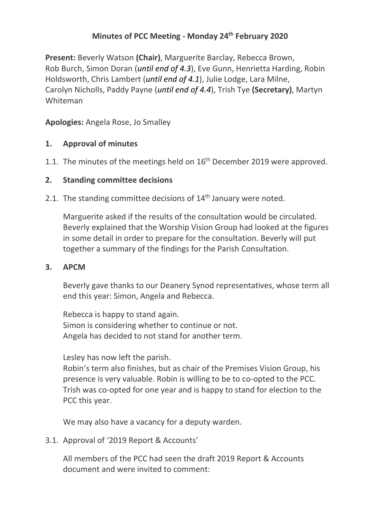# **Minutes of PCC Meeting - Monday 24th February 2020**

**Present:** Beverly Watson **(Chair)**, Marguerite Barclay, Rebecca Brown, Rob Burch, Simon Doran (*until end of 4.3*), Eve Gunn, Henrietta Harding, Robin Holdsworth, Chris Lambert (*until end of 4.1*), Julie Lodge, Lara Milne, Carolyn Nicholls, Paddy Payne (*until end of 4.4*), Trish Tye **(Secretary)**, Martyn Whiteman

**Apologies:** Angela Rose, Jo Smalley

# **1. Approval of minutes**

1.1. The minutes of the meetings held on 16<sup>th</sup> December 2019 were approved.

## **2. Standing committee decisions**

2.1. The standing committee decisions of  $14<sup>th</sup>$  January were noted.

Marguerite asked if the results of the consultation would be circulated. Beverly explained that the Worship Vision Group had looked at the figures in some detail in order to prepare for the consultation. Beverly will put together a summary of the findings for the Parish Consultation.

## **3. APCM**

Beverly gave thanks to our Deanery Synod representatives, whose term all end this year: Simon, Angela and Rebecca.

Rebecca is happy to stand again. Simon is considering whether to continue or not. Angela has decided to not stand for another term.

Lesley has now left the parish.

Robin's term also finishes, but as chair of the Premises Vision Group, his presence is very valuable. Robin is willing to be to co-opted to the PCC. Trish was co-opted for one year and is happy to stand for election to the PCC this year.

We may also have a vacancy for a deputy warden.

3.1. Approval of '2019 Report & Accounts'

All members of the PCC had seen the draft 2019 Report & Accounts document and were invited to comment: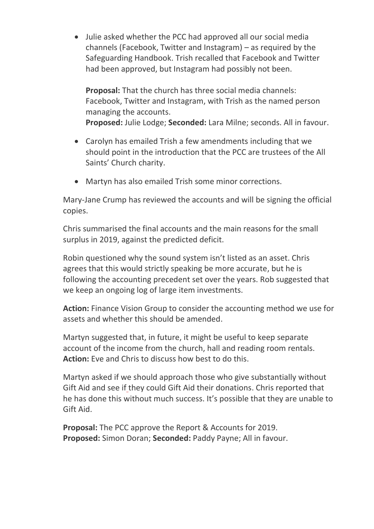• Julie asked whether the PCC had approved all our social media channels (Facebook, Twitter and Instagram) – as required by the Safeguarding Handbook. Trish recalled that Facebook and Twitter had been approved, but Instagram had possibly not been.

**Proposal:** That the church has three social media channels: Facebook, Twitter and Instagram, with Trish as the named person managing the accounts. **Proposed:** Julie Lodge; **Seconded:** Lara Milne; seconds. All in favour.

- Carolyn has emailed Trish a few amendments including that we should point in the introduction that the PCC are trustees of the All Saints' Church charity.
- Martyn has also emailed Trish some minor corrections.

Mary-Jane Crump has reviewed the accounts and will be signing the official copies.

Chris summarised the final accounts and the main reasons for the small surplus in 2019, against the predicted deficit.

Robin questioned why the sound system isn't listed as an asset. Chris agrees that this would strictly speaking be more accurate, but he is following the accounting precedent set over the years. Rob suggested that we keep an ongoing log of large item investments.

**Action:** Finance Vision Group to consider the accounting method we use for assets and whether this should be amended.

Martyn suggested that, in future, it might be useful to keep separate account of the income from the church, hall and reading room rentals. **Action:** Eve and Chris to discuss how best to do this.

Martyn asked if we should approach those who give substantially without Gift Aid and see if they could Gift Aid their donations. Chris reported that he has done this without much success. It's possible that they are unable to Gift Aid.

**Proposal:** The PCC approve the Report & Accounts for 2019. **Proposed:** Simon Doran; **Seconded:** Paddy Payne; All in favour.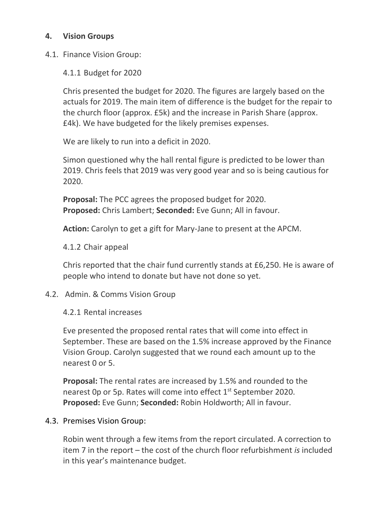# **4. Vision Groups**

4.1. Finance Vision Group:

4.1.1 Budget for 2020

Chris presented the budget for 2020. The figures are largely based on the actuals for 2019. The main item of difference is the budget for the repair to the church floor (approx. £5k) and the increase in Parish Share (approx. £4k). We have budgeted for the likely premises expenses.

We are likely to run into a deficit in 2020.

Simon questioned why the hall rental figure is predicted to be lower than 2019. Chris feels that 2019 was very good year and so is being cautious for 2020.

**Proposal:** The PCC agrees the proposed budget for 2020. **Proposed:** Chris Lambert; **Seconded:** Eve Gunn; All in favour.

**Action:** Carolyn to get a gift for Mary-Jane to present at the APCM.

4.1.2 Chair appeal

Chris reported that the chair fund currently stands at £6,250. He is aware of people who intend to donate but have not done so yet.

4.2. Admin. & Comms Vision Group

# 4.2.1 Rental increases

Eve presented the proposed rental rates that will come into effect in September. These are based on the 1.5% increase approved by the Finance Vision Group. Carolyn suggested that we round each amount up to the nearest 0 or 5.

**Proposal:** The rental rates are increased by 1.5% and rounded to the nearest 0p or 5p. Rates will come into effect 1<sup>st</sup> September 2020. **Proposed:** Eve Gunn; **Seconded:** Robin Holdworth; All in favour.

## 4.3. Premises Vision Group:

Robin went through a few items from the report circulated. A correction to item 7 in the report – the cost of the church floor refurbishment *is* included in this year's maintenance budget.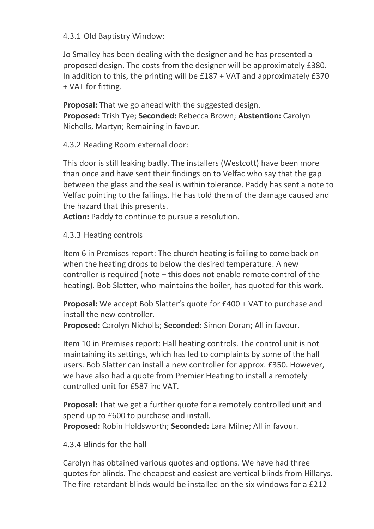## 4.3.1 Old Baptistry Window:

Jo Smalley has been dealing with the designer and he has presented a proposed design. The costs from the designer will be approximately £380. In addition to this, the printing will be £187 + VAT and approximately £370 + VAT for fitting.

**Proposal:** That we go ahead with the suggested design. **Proposed:** Trish Tye; **Seconded:** Rebecca Brown; **Abstention:** Carolyn Nicholls, Martyn; Remaining in favour.

## 4.3.2 Reading Room external door:

This door is still leaking badly. The installers (Westcott) have been more than once and have sent their findings on to Velfac who say that the gap between the glass and the seal is within tolerance. Paddy has sent a note to Velfac pointing to the failings. He has told them of the damage caused and the hazard that this presents.

**Action:** Paddy to continue to pursue a resolution.

4.3.3 Heating controls

Item 6 in Premises report: The church heating is failing to come back on when the heating drops to below the desired temperature. A new controller is required (note – this does not enable remote control of the heating). Bob Slatter, who maintains the boiler, has quoted for this work.

**Proposal:** We accept Bob Slatter's quote for £400 + VAT to purchase and install the new controller.

**Proposed:** Carolyn Nicholls; **Seconded:** Simon Doran; All in favour.

Item 10 in Premises report: Hall heating controls. The control unit is not maintaining its settings, which has led to complaints by some of the hall users. Bob Slatter can install a new controller for approx. £350. However, we have also had a quote from Premier Heating to install a remotely controlled unit for £587 inc VAT.

**Proposal:** That we get a further quote for a remotely controlled unit and spend up to £600 to purchase and install.

**Proposed:** Robin Holdsworth; **Seconded:** Lara Milne; All in favour.

## 4.3.4 Blinds for the hall

Carolyn has obtained various quotes and options. We have had three quotes for blinds. The cheapest and easiest are vertical blinds from Hillarys. The fire-retardant blinds would be installed on the six windows for a £212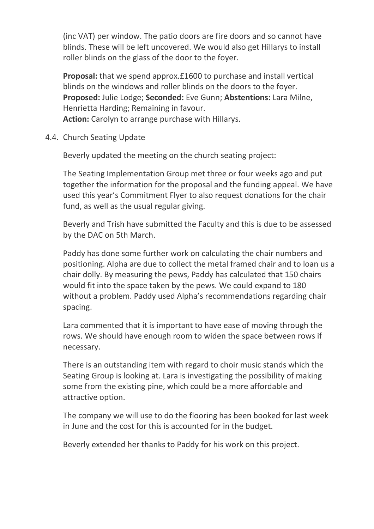(inc VAT) per window. The patio doors are fire doors and so cannot have blinds. These will be left uncovered. We would also get Hillarys to install roller blinds on the glass of the door to the foyer.

**Proposal:** that we spend approx.£1600 to purchase and install vertical blinds on the windows and roller blinds on the doors to the foyer. **Proposed:** Julie Lodge; **Seconded:** Eve Gunn; **Abstentions:** Lara Milne, Henrietta Harding; Remaining in favour.

**Action:** Carolyn to arrange purchase with Hillarys.

4.4. Church Seating Update

Beverly updated the meeting on the church seating project:

The Seating Implementation Group met three or four weeks ago and put together the information for the proposal and the funding appeal. We have used this year's Commitment Flyer to also request donations for the chair fund, as well as the usual regular giving.

Beverly and Trish have submitted the Faculty and this is due to be assessed by the DAC on 5th March.

Paddy has done some further work on calculating the chair numbers and positioning. Alpha are due to collect the metal framed chair and to loan us a chair dolly. By measuring the pews, Paddy has calculated that 150 chairs would fit into the space taken by the pews. We could expand to 180 without a problem. Paddy used Alpha's recommendations regarding chair spacing.

Lara commented that it is important to have ease of moving through the rows. We should have enough room to widen the space between rows if necessary.

There is an outstanding item with regard to choir music stands which the Seating Group is looking at. Lara is investigating the possibility of making some from the existing pine, which could be a more affordable and attractive option.

The company we will use to do the flooring has been booked for last week in June and the cost for this is accounted for in the budget.

Beverly extended her thanks to Paddy for his work on this project.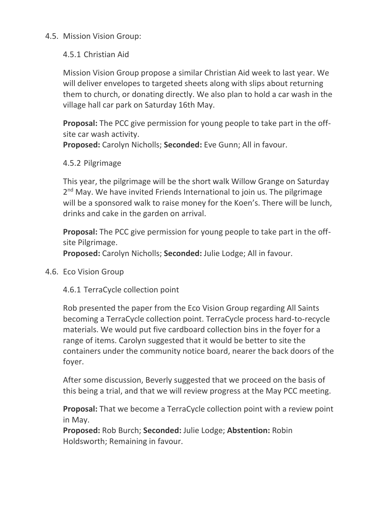### 4.5. Mission Vision Group:

### 4.5.1 Christian Aid

Mission Vision Group propose a similar Christian Aid week to last year. We will deliver envelopes to targeted sheets along with slips about returning them to church, or donating directly. We also plan to hold a car wash in the village hall car park on Saturday 16th May.

**Proposal:** The PCC give permission for young people to take part in the offsite car wash activity.

**Proposed:** Carolyn Nicholls; **Seconded:** Eve Gunn; All in favour.

#### 4.5.2 Pilgrimage

This year, the pilgrimage will be the short walk Willow Grange on Saturday 2<sup>nd</sup> May. We have invited Friends International to join us. The pilgrimage will be a sponsored walk to raise money for the Koen's. There will be lunch, drinks and cake in the garden on arrival.

**Proposal:** The PCC give permission for young people to take part in the offsite Pilgrimage.

**Proposed:** Carolyn Nicholls; **Seconded:** Julie Lodge; All in favour.

4.6. Eco Vision Group

4.6.1 TerraCycle collection point

Rob presented the paper from the Eco Vision Group regarding All Saints becoming a TerraCycle collection point. TerraCycle process hard-to-recycle materials. We would put five cardboard collection bins in the foyer for a range of items. Carolyn suggested that it would be better to site the containers under the community notice board, nearer the back doors of the foyer.

After some discussion, Beverly suggested that we proceed on the basis of this being a trial, and that we will review progress at the May PCC meeting.

**Proposal:** That we become a TerraCycle collection point with a review point in May.

**Proposed:** Rob Burch; **Seconded:** Julie Lodge; **Abstention:** Robin Holdsworth; Remaining in favour.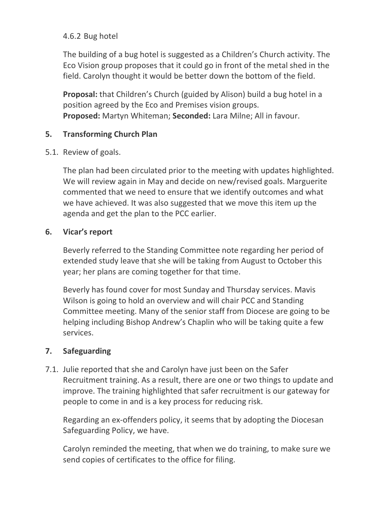# 4.6.2 Bug hotel

The building of a bug hotel is suggested as a Children's Church activity. The Eco Vision group proposes that it could go in front of the metal shed in the field. Carolyn thought it would be better down the bottom of the field.

**Proposal:** that Children's Church (guided by Alison) build a bug hotel in a position agreed by the Eco and Premises vision groups. **Proposed:** Martyn Whiteman; **Seconded:** Lara Milne; All in favour.

## **5. Transforming Church Plan**

5.1. Review of goals.

The plan had been circulated prior to the meeting with updates highlighted. We will review again in May and decide on new/revised goals. Marguerite commented that we need to ensure that we identify outcomes and what we have achieved. It was also suggested that we move this item up the agenda and get the plan to the PCC earlier.

# **6. Vicar's report**

Beverly referred to the Standing Committee note regarding her period of extended study leave that she will be taking from August to October this year; her plans are coming together for that time.

Beverly has found cover for most Sunday and Thursday services. Mavis Wilson is going to hold an overview and will chair PCC and Standing Committee meeting. Many of the senior staff from Diocese are going to be helping including Bishop Andrew's Chaplin who will be taking quite a few services.

# **7. Safeguarding**

7.1. Julie reported that she and Carolyn have just been on the Safer Recruitment training. As a result, there are one or two things to update and improve. The training highlighted that safer recruitment is our gateway for people to come in and is a key process for reducing risk.

Regarding an ex-offenders policy, it seems that by adopting the Diocesan Safeguarding Policy, we have.

Carolyn reminded the meeting, that when we do training, to make sure we send copies of certificates to the office for filing.